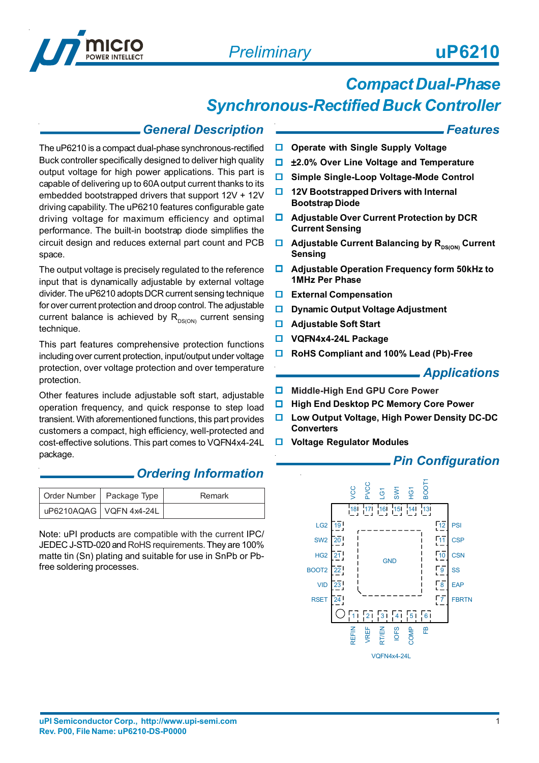

# *Compact Dual-Phase*

# *Synchronous-Rectified Buck Controller*

### *General Description*

The uP6210 is a compact dual-phase synchronous-rectified Buck controller specifically designed to deliver high quality output voltage for high power applications. This part is capable of delivering up to 60A output current thanks to its embedded bootstrapped drivers that support 12V + 12V driving capability. The uP6210 features configurable gate driving voltage for maximum efficiency and optimal performance. The built-in bootstrap diode simplifies the circuit design and reduces external part count and PCB space.

The output voltage is precisely regulated to the reference input that is dynamically adjustable by external voltage divider. The uP6210 adopts DCR current sensing technique for over current protection and droop control. The adjustable current balance is achieved by  $R_{DS(ON)}$  current sensing technique.

This part features comprehensive protection functions including over current protection, input/output under voltage protection, over voltage protection and over temperature protection.

Other features include adjustable soft start, adjustable operation frequency, and quick response to step load transient. With aforementioned functions, this part provides customers a compact, high efficiency, well-protected and cost-effective solutions. This part comes to VQFN4x4-24L package.

### *Ordering Information*

| Order Number   Package Type |                           | Remark |
|-----------------------------|---------------------------|--------|
|                             | UP6210AQAG   VQFN 4x4-24L |        |

Note: uPI products are compatible with the current IPC/ JEDEC J-STD-020 and RoHS requirements. They are 100% matte tin (Sn) plating and suitable for use in SnPb or Pbfree soldering processes.

*Features*

- **Operate with Single Supply Voltage**
- ±**2.0% Over Line Voltage and Temperature**
- **Simple Single-Loop Voltage-Mode Control**
- **12V Bootstrapped Drivers with Internal Bootstrap Diode**
- **Adjustable Over Current Protection by DCR Current Sensing**
- **Adjustable Current Balancing by R<sub>DS(ON)</sub> Current Sensing**
- **Adjustable Operation Frequency form 50kHz to 1MHz Per Phase**
- **External Compensation**
- **D** Dynamic Output Voltage Adjustment
- **Adjustable Soft Start**
- **VQFN4x4-24L Package**
- **RoHS Compliant and 100% Lead (Pb)-Free**

#### *Applications*

- **Middle-High End GPU Core Power**
- **High End Desktop PC Memory Core Power**
- **Low Output Voltage, High Power Density DC-DC Converters**
- **Voltage Regulator Modules**

### *Pin Configuration*

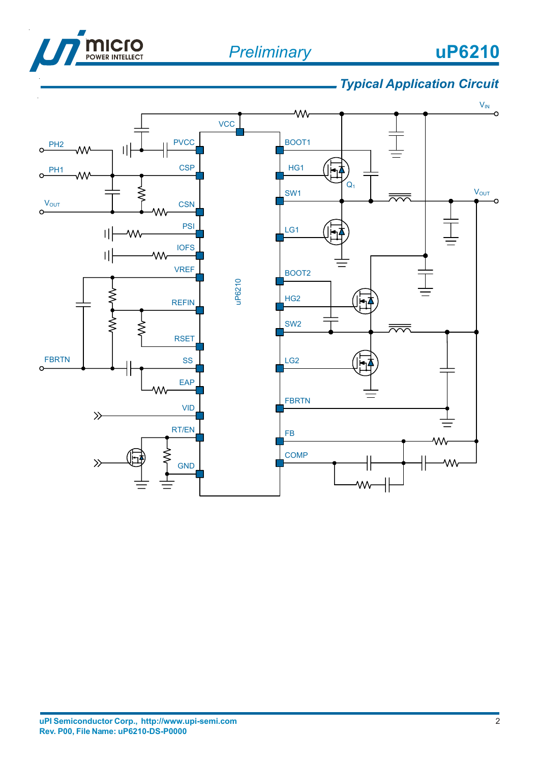



# *Typical Application Circuit*

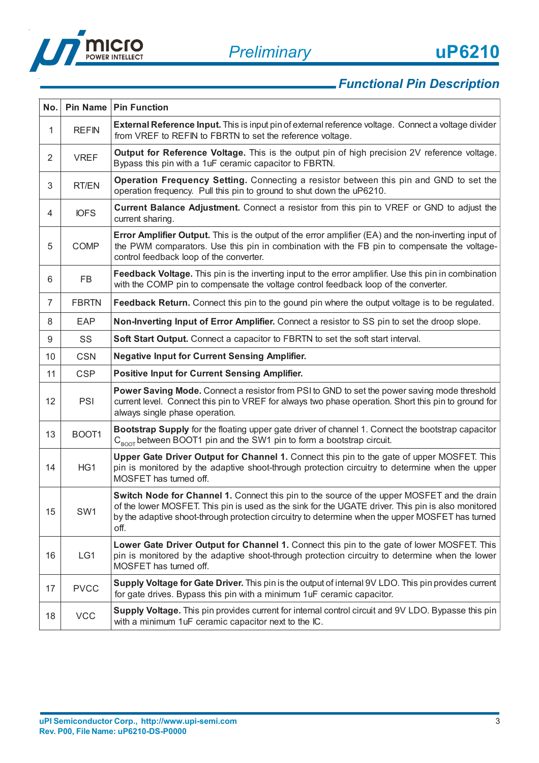

# *Functional Pin Description*

| No.            |              | Pin Name   Pin Function                                                                                                                                                                                                                                                                                       |
|----------------|--------------|---------------------------------------------------------------------------------------------------------------------------------------------------------------------------------------------------------------------------------------------------------------------------------------------------------------|
| 1              | <b>REFIN</b> | External Reference Input. This is input pin of external reference voltage. Connect a voltage divider<br>from VREF to REFIN to FBRTN to set the reference voltage.                                                                                                                                             |
| $\overline{2}$ | <b>VREF</b>  | Output for Reference Voltage. This is the output pin of high precision 2V reference voltage.<br>Bypass this pin with a 1uF ceramic capacitor to FBRTN.                                                                                                                                                        |
| 3              | RT/EN        | Operation Frequency Setting. Connecting a resistor between this pin and GND to set the<br>operation frequency. Pull this pin to ground to shut down the uP6210.                                                                                                                                               |
| 4              | <b>IOFS</b>  | <b>Current Balance Adjustment.</b> Connect a resistor from this pin to VREF or GND to adjust the<br>current sharing.                                                                                                                                                                                          |
| 5              | <b>COMP</b>  | Error Amplifier Output. This is the output of the error amplifier (EA) and the non-inverting input of<br>the PWM comparators. Use this pin in combination with the FB pin to compensate the voltage-<br>control feedback loop of the converter.                                                               |
| 6              | <b>FB</b>    | Feedback Voltage. This pin is the inverting input to the error amplifier. Use this pin in combination<br>with the COMP pin to compensate the voltage control feedback loop of the converter.                                                                                                                  |
| $\overline{7}$ | <b>FBRTN</b> | Feedback Return. Connect this pin to the gound pin where the output voltage is to be regulated.                                                                                                                                                                                                               |
| 8              | EAP          | Non-Inverting Input of Error Amplifier. Connect a resistor to SS pin to set the droop slope.                                                                                                                                                                                                                  |
| 9              | SS           | Soft Start Output. Connect a capacitor to FBRTN to set the soft start interval.                                                                                                                                                                                                                               |
| 10             | <b>CSN</b>   | <b>Negative Input for Current Sensing Amplifier.</b>                                                                                                                                                                                                                                                          |
| 11             | <b>CSP</b>   | <b>Positive Input for Current Sensing Amplifier.</b>                                                                                                                                                                                                                                                          |
| 12             | PSI          | <b>Power Saving Mode.</b> Connect a resistor from PSI to GND to set the power saving mode threshold<br>current level. Connect this pin to VREF for always two phase operation. Short this pin to ground for<br>always single phase operation.                                                                 |
|                |              |                                                                                                                                                                                                                                                                                                               |
| 13             | BOOT1        | Bootstrap Supply for the floating upper gate driver of channel 1. Connect the bootstrap capacitor<br>C <sub>BOOT</sub> between BOOT1 pin and the SW1 pin to form a bootstrap circuit.                                                                                                                         |
| 14             | HG1          | Upper Gate Driver Output for Channel 1. Connect this pin to the gate of upper MOSFET. This<br>pin is monitored by the adaptive shoot-through protection circuitry to determine when the upper<br>MOSFET has turned off.                                                                                       |
| 15             | SW1          | Switch Node for Channel 1. Connect this pin to the source of the upper MOSFET and the drain<br>of the lower MOSFET. This pin is used as the sink for the UGATE driver. This pin is also monitored<br>by the adaptive shoot-through protection circuitry to determine when the upper MOSFET has turned<br>off. |
| 16             | LG1          | Lower Gate Driver Output for Channel 1. Connect this pin to the gate of lower MOSFET. This<br>pin is monitored by the adaptive shoot-through protection circuitry to determine when the lower<br>MOSFET has turned off.                                                                                       |
| 17             | <b>PVCC</b>  | Supply Voltage for Gate Driver. This pin is the output of internal 9V LDO. This pin provides current<br>for gate drives. Bypass this pin with a minimum 1uF ceramic capacitor.                                                                                                                                |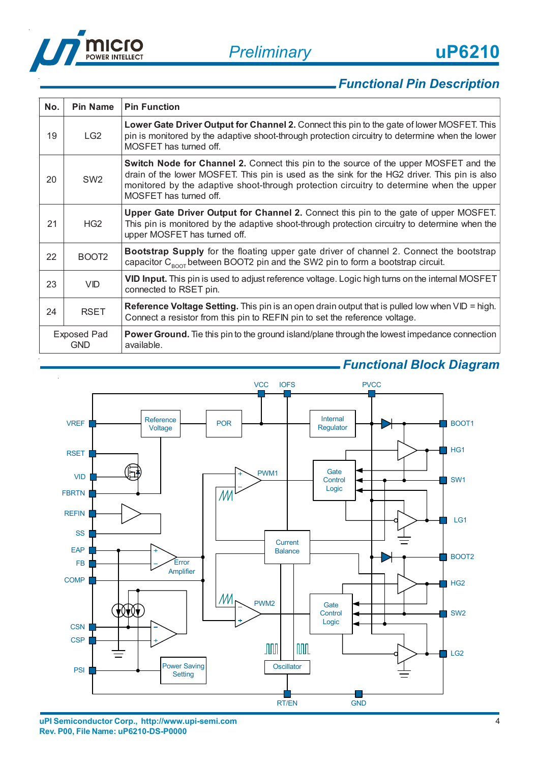



# *Functional Pin Description*

| No.                              | <b>Pin Name</b>   | <b>Pin Function</b>                                                                                                                                                                                                                                                                                                |
|----------------------------------|-------------------|--------------------------------------------------------------------------------------------------------------------------------------------------------------------------------------------------------------------------------------------------------------------------------------------------------------------|
| 19                               | LG <sub>2</sub>   | Lower Gate Driver Output for Channel 2. Connect this pin to the gate of lower MOSFET. This<br>pin is monitored by the adaptive shoot-through protection circuitry to determine when the lower<br>MOSFET has turned off.                                                                                            |
| 20                               | SW <sub>2</sub>   | <b>Switch Node for Channel 2.</b> Connect this pin to the source of the upper MOSFET and the<br>drain of the lower MOSFET. This pin is used as the sink for the HG2 driver. This pin is also<br>monitored by the adaptive shoot-through protection circuitry to determine when the upper<br>MOSFET has turned off. |
| 21                               | HG <sub>2</sub>   | Upper Gate Driver Output for Channel 2. Connect this pin to the gate of upper MOSFET.<br>This pin is monitored by the adaptive shoot-through protection circuitry to determine when the<br>upper MOSFET has turned off.                                                                                            |
| 22                               | BOOT <sub>2</sub> | <b>Bootstrap Supply</b> for the floating upper gate driver of channel 2. Connect the bootstrap<br>capacitor $C_{\text{ROT}}$ between BOOT2 pin and the SW2 pin to form a bootstrap circuit.                                                                                                                        |
| 23                               | <b>VID</b>        | VID Input. This pin is used to adjust reference voltage. Logic high turns on the internal MOSFET<br>connected to RSET pin.                                                                                                                                                                                         |
| 24                               | <b>RSET</b>       | <b>Reference Voltage Setting.</b> This pin is an open drain output that is pulled low when VID = high.<br>Connect a resistor from this pin to REFIN pin to set the reference voltage.                                                                                                                              |
| <b>Exposed Pad</b><br><b>GND</b> |                   | <b>Power Ground.</b> The this pin to the ground island/plane through the lowest impedance connection<br>available.                                                                                                                                                                                                 |

### *Functional Block Diagram*

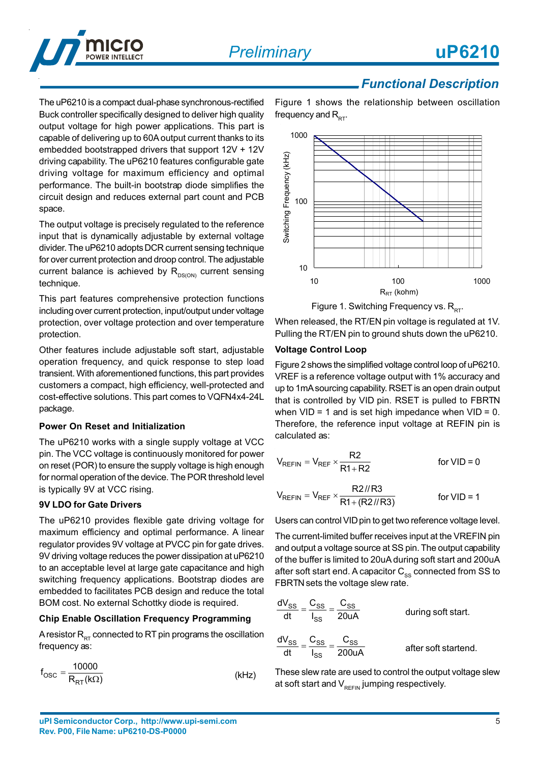

### *Functional Description*

The uP6210 is a compact dual-phase synchronous-rectified Buck controller specifically designed to deliver high quality output voltage for high power applications. This part is capable of delivering up to 60A output current thanks to its embedded bootstrapped drivers that support 12V + 12V driving capability. The uP6210 features configurable gate driving voltage for maximum efficiency and optimal performance. The built-in bootstrap diode simplifies the circuit design and reduces external part count and PCB space.

The output voltage is precisely regulated to the reference input that is dynamically adjustable by external voltage divider. The uP6210 adopts DCR current sensing technique for over current protection and droop control. The adjustable current balance is achieved by  $R_{DS(ON)}$  current sensing technique.

This part features comprehensive protection functions including over current protection, input/output under voltage protection, over voltage protection and over temperature protection.

Other features include adjustable soft start, adjustable operation frequency, and quick response to step load transient. With aforementioned functions, this part provides customers a compact, high efficiency, well-protected and cost-effective solutions. This part comes to VQFN4x4-24L package.

#### **Power On Reset and Initialization**

The uP6210 works with a single supply voltage at VCC pin. The VCC voltage is continuously monitored for power on reset (POR) to ensure the supply voltage is high enough for normal operation of the device. The POR threshold level is typically 9V at VCC rising.

#### **9V LDO for Gate Drivers**

The uP6210 provides flexible gate driving voltage for maximum efficiency and optimal performance. A linear regulator provides 9V voltage at PVCC pin for gate drives. 9V driving voltage reduces the power dissipation at uP6210 to an acceptable level at large gate capacitance and high switching frequency applications. Bootstrap diodes are embedded to facilitates PCB design and reduce the total BOM cost. No external Schottky diode is required.

#### **Chip Enable Oscillation Frequency Programming**

A resistor  $R_{RT}$  connected to RT pin programs the oscillation frequency as:

$$
f_{\rm OSC} = \frac{10000}{R_{\rm RT}(k\Omega)}\tag{kHz}
$$

Figure 1 shows the relationship between oscillation frequency and  $R_{\text{ext}}$ .



When released, the RT/EN pin voltage is regulated at 1V. Pulling the RT/EN pin to ground shuts down the uP6210.

#### **Voltage Control Loop**

Figure 2 shows the simplified voltage control loop of uP6210. VREF is a reference voltage output with 1% accuracy and up to 1mA sourcing capability. RSET is an open drain output that is controlled by VID pin. RSET is pulled to FBRTN when  $VID = 1$  and is set high impedance when  $VID = 0$ . Therefore, the reference input voltage at REFIN pin is calculated as:

$$
V_{REFIN} = V_{REF} \times \frac{R2}{R1 + R2}
$$
 for VID = 0  

$$
V_{REFIN} = V_{REF} \times \frac{R2 \, \text{/} R3}{R1 + (R2 \, \text{/} R3)}
$$
 for VID = 1

Users can control VID pin to get two reference voltage level.

The current-limited buffer receives input at the VREFIN pin and output a voltage source at SS pin. The output capability of the buffer is limited to 20uA during soft start and 200uA after soft start end. A capacitor  $C_{ss}$  connected from SS to FBRTN sets the voltage slew rate.

$$
\frac{dV_{SS}}{dt} = \frac{C_{SS}}{I_{SS}} = \frac{C_{SS}}{20uA}
$$
 during soft start.  

$$
\frac{dV_{SS}}{dt} = \frac{C_{SS}}{I_{SS}} = \frac{C_{SS}}{200uA}
$$
 after soft started.

These slew rate are used to control the output voltage slew at soft start and  $V_{RFFIN}$  jumping respectively.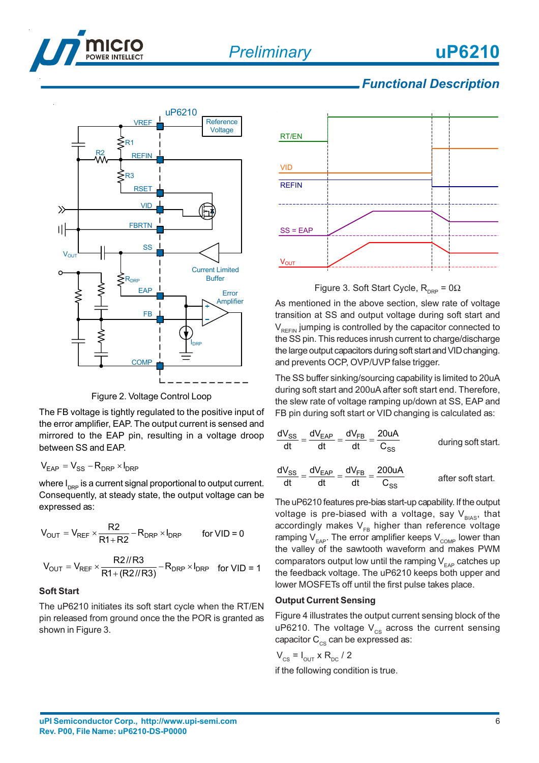



### *Functional Description*



Figure 2. Voltage Control Loop

The FB voltage is tightly regulated to the positive input of the error amplifier, EAP. The output current is sensed and mirrored to the EAP pin, resulting in a voltage droop between SS and EAP.

$$
V_{EAP} = V_{SS} - R_{DRP} \times I_{DRP}
$$

where  $I_{\text{DRP}}$  is a current signal proportional to output current. Consequently, at steady state, the output voltage can be expressed as:

$$
V_{OUT} = V_{REF} \times \frac{R2}{R1 + R2} - R_{DRP} \times I_{DRP}
$$
 for VID = 0

$$
V_{OUT} = V_{REF} \times \frac{R2 \text{/}/R3}{R1 + (R2 \text{/}/R3)} - R_{DRP} \times I_{DRP}
$$
 for VID = 1

#### **Soft Start**

The uP6210 initiates its soft start cycle when the RT/EN pin released from ground once the the POR is granted as shown in Figure 3.



Figure 3. Soft Start Cycle,  $R_{\text{DRP}} = 0\Omega$ 

As mentioned in the above section, slew rate of voltage transition at SS and output voltage during soft start and  $V_{\text{per}}$  jumping is controlled by the capacitor connected to the SS pin. This reduces inrush current to charge/discharge the large output capacitors during soft start and VID changing. and prevents OCP, OVP/UVP false trigger.

The SS buffer sinking/sourcing capability is limited to 20uA during soft start and 200uA after soft start end. Therefore, the slew rate of voltage ramping up/down at SS, EAP and FB pin during soft start or VID changing is calculated as:

$$
\frac{dV_{SS}}{dt} = \frac{dV_{EAP}}{dt} = \frac{dV_{FB}}{dt} = \frac{20uA}{C_{SS}}
$$
 during soft start.  

$$
\frac{dV_{SS}}{dt} = \frac{dV_{EAP}}{dt} = \frac{dV_{FB}}{dt} = \frac{200uA}{C_{SS}}
$$
 after soft start.

The uP6210 features pre-bias start-up capability. If the output voltage is pre-biased with a voltage, say  $V_{BIAS}$ , that accordingly makes  $V_{FB}$  higher than reference voltage ramping  $V_{\text{FAP}}$ . The error amplifier keeps  $V_{\text{COMP}}$  lower than the valley of the sawtooth waveform and makes PWM comparators output low until the ramping  $V_{FAP}$  catches up the feedback voltage. The uP6210 keeps both upper and lower MOSFETs off until the first pulse takes place.

#### **Output Current Sensing**

Figure 4 illustrates the output current sensing block of the uP6210. The voltage  $V_{cs}$  across the current sensing capacitor  $C_{\text{cs}}$  can be expressed as:

 $V_{CS} = I_{OUT} \times R_{DC} / 2$ if the following condition is true.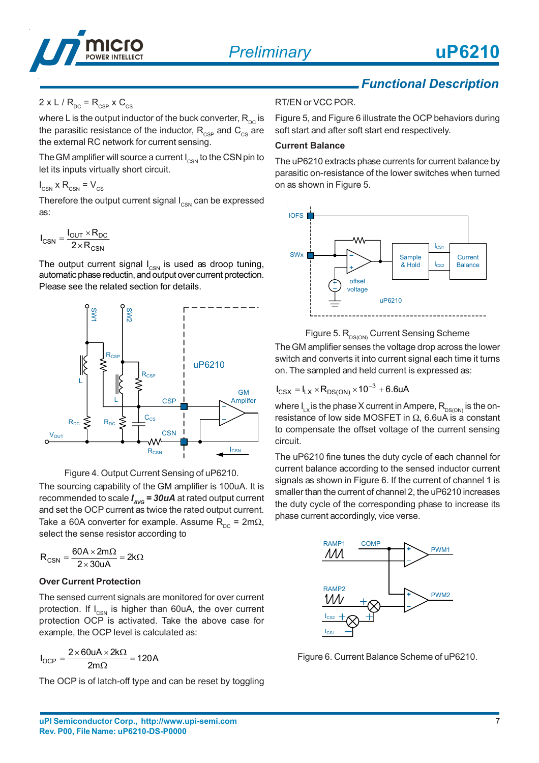

#### $2 \times L / R_{\text{DC}} = R_{\text{CSP}} \times C_{\text{CS}}$

where L is the output inductor of the buck converter,  $R_{\text{nc}}$  is the parasitic resistance of the inductor,  $R_{\text{CSP}}$  and  $C_{\text{CS}}$  are the external RC network for current sensing.

The GM amplifier will source a current  $I_{\text{CSM}}$  to the CSN pin to let its inputs virtually short circuit.

 $I_{\text{CSN}}$  x R<sub>CSN</sub> = V<sub>CS</sub>

Therefore the output current signal  $I_{\text{CSN}}$  can be expressed as:

$$
I_{CSN} = \frac{I_{OUT} \times R_{DC}}{2 \times R_{CSN}}
$$

The output current signal  $I_{CSN}$  is used as droop tuning, automatic phase reductin, and output over current protection. Please see the related section for details.





The sourcing capability of the GM amplifier is 100uA. It is recommended to scale *I AVG = 30uA* at rated output current and set the OCP current as twice the rated output current. Take a 60A converter for example. Assume  $R_{\text{nc}} = 2m\Omega$ , select the sense resistor according to

$$
R_{CSN}=\frac{60A\times 2m\Omega}{2\times 30uA}=2k\Omega
$$

#### **Over Current Protection**

The sensed current signals are monitored for over current protection. If  $I_{\text{CSM}}$  is higher than 60uA, the over current protection OCP is activated. Take the above case for example, the OCP level is calculated as:

$$
I_{OCP}=\frac{2\times60uA\times2k\Omega}{2m\Omega}=120A
$$

The OCP is of latch-off type and can be reset by toggling

# *Functional Description*

RT/EN or VCC POR.

Figure 5, and Figure 6 illustrate the OCP behaviors during soft start and after soft start end respectively.

#### **Current Balance**

The uP6210 extracts phase currents for current balance by parasitic on-resistance of the lower switches when turned on as shown in Figure 5.





The GM amplifier senses the voltage drop across the lower switch and converts it into current signal each time it turns on. The sampled and held current is expressed as:

$$
I_{CSX} = I_{LX} \times R_{DS(ON)} \times 10^{-3} + 6.6 uA
$$

where  $I_{LX}$  is the phase X current in Ampere,  $R_{DS(ON)}$  is the onresistance of low side MOSFET in  $\Omega$ , 6.6uA is a constant to compensate the offset voltage of the current sensing circuit.

The uP6210 fine tunes the duty cycle of each channel for current balance according to the sensed inductor current signals as shown in Figure 6. If the current of channel 1 is smaller than the current of channel 2, the uP6210 increases the duty cycle of the corresponding phase to increase its phase current accordingly, vice verse.



Figure 6. Current Balance Scheme of uP6210.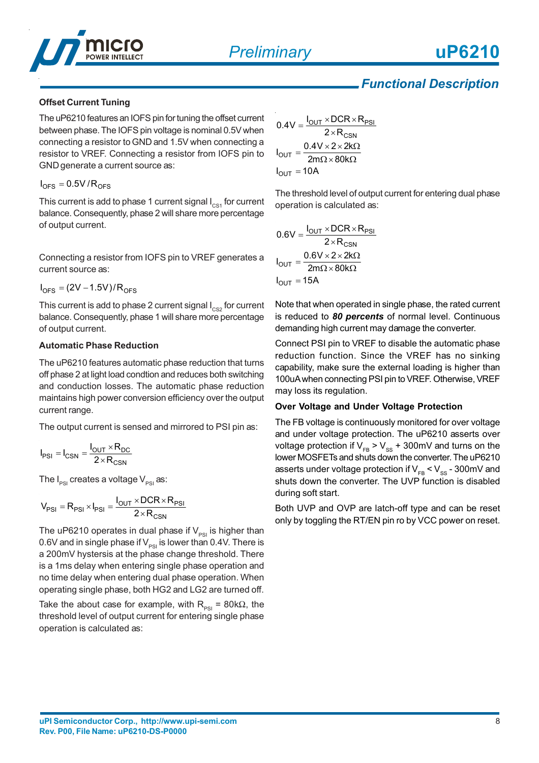

## *Functional Description*

#### **Offset Current Tuning**

The uP6210 features an IOFS pin for tuning the offset current between phase. The IOFS pin voltage is nominal 0.5V when connecting a resistor to GND and 1.5V when connecting a resistor to VREF. Connecting a resistor from IOFS pin to GND generate a current source as:

$$
I_{\text{OFS}} = 0.5 V / R_{\text{OFS}}
$$

This current is add to phase 1 current signal  $I_{CS1}$  for current balance. Consequently, phase 2 will share more percentage of output current.

Connecting a resistor from IOFS pin to VREF generates a current source as:

 $I_{\text{OES}} = (2V - 1.5V)/R_{\text{OES}}$ 

This current is add to phase 2 current signal  $I_{\text{css}}$  for current balance. Consequently, phase 1 will share more percentage of output current.

#### **Automatic Phase Reduction**

The uP6210 features automatic phase reduction that turns off phase 2 at light load condtion and reduces both switching and conduction losses. The automatic phase reduction maintains high power conversion efficiency over the output current range.

The output current is sensed and mirrored to PSI pin as:

$$
I_{PSI} = I_{CSN} = \frac{I_{OUT} \times R_{DC}}{2 \times R_{CSN}}
$$

The  $I_{PSI}$  creates a voltage  $V_{PSI}$  as:

$$
V_{PSI} = R_{PSI} \times I_{PSI} = \frac{I_{OUT} \times DCR \times R_{PSI}}{2 \times R_{CSN}}
$$

The uP6210 operates in dual phase if  $V_{PSI}$  is higher than 0.6V and in single phase if  $V_{pst}$  is lower than 0.4V. There is a 200mV hystersis at the phase change threshold. There is a 1ms delay when entering single phase operation and no time delay when entering dual phase operation. When operating single phase, both HG2 and LG2 are turned off.

Take the about case for example, with  $R_{PSI} = 80k\Omega$ , the threshold level of output current for entering single phase operation is calculated as:

$$
0.4V = \frac{I_{OUT} \times DCR \times R_{PSI}}{2 \times R_{CSN}}
$$

$$
I_{OUT} = \frac{0.4V \times 2 \times 2k\Omega}{2m\Omega \times 80k\Omega}
$$

$$
I_{OUT} = 10A
$$

The threshold level of output current for entering dual phase operation is calculated as:

$$
0.6V = \frac{I_{OUT} \times DCR \times R_{PSI}}{2 \times R_{CSN}}
$$

$$
I_{OUT} = \frac{0.6V \times 2 \times 2k\Omega}{2m\Omega \times 80k\Omega}
$$

$$
I_{OUT} = 15A
$$

Note that when operated in single phase, the rated current is reduced to *80 percents* of normal level. Continuous demanding high current may damage the converter.

Connect PSI pin to VREF to disable the automatic phase reduction function. Since the VREF has no sinking capability, make sure the external loading is higher than 100uA when connecting PSI pin to VREF. Otherwise, VREF may loss its regulation.

#### **Over Voltage and Under Voltage Protection**

The FB voltage is continuously monitored for over voltage and under voltage protection. The uP6210 asserts over voltage protection if  $V_{FB} > V_{SS} + 300$  mV and turns on the lower MOSFETs and shuts down the converter. The uP6210 asserts under voltage protection if  $V_{FB}$  <  $V_{SS}$  - 300mV and shuts down the converter. The UVP function is disabled during soft start.

Both UVP and OVP are latch-off type and can be reset only by toggling the RT/EN pin ro by VCC power on reset.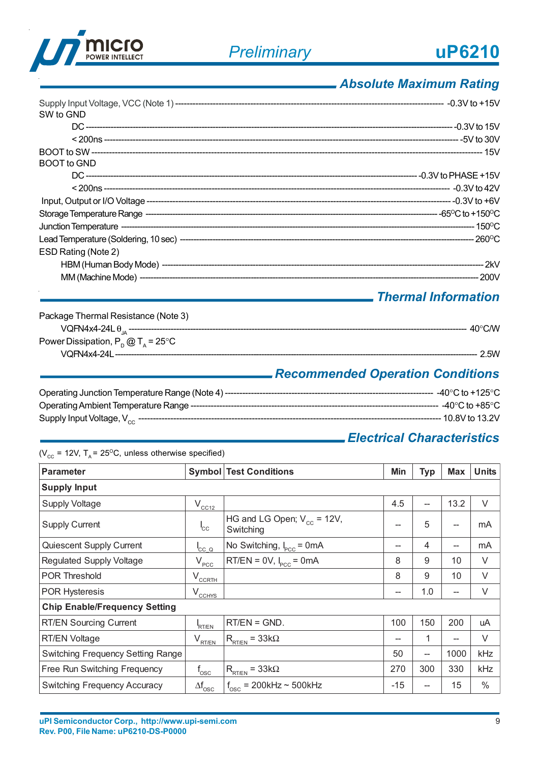

## *Absolute Maximum Rating*

| SW to GND           |  |
|---------------------|--|
|                     |  |
|                     |  |
|                     |  |
| <b>BOOT</b> to GND  |  |
|                     |  |
|                     |  |
|                     |  |
|                     |  |
|                     |  |
|                     |  |
| ESD Rating (Note 2) |  |
|                     |  |
|                     |  |

### *Thermal Information*

| Package Thermal Resistance (Note 3)         |                  |
|---------------------------------------------|------------------|
|                                             | $40^{\circ}$ CMV |
| Power Dissipation, $P_p @ T_a = 25^\circ C$ |                  |
| VOFN4x4-24L ----------------------------    | 2.5W             |

# *Recommended Operation Conditions*

| -40°C to +125°C       |
|-----------------------|
| ------ -40°C to +85°C |
| ------ 10.8V to 13.2V |

# *Electrical Characteristics*

| ( $V_{cc}$ = 12V, T <sub>a</sub> = 25 <sup>o</sup> C, unless otherwise specified) |                               |                                              |       |                          |            |              |  |
|-----------------------------------------------------------------------------------|-------------------------------|----------------------------------------------|-------|--------------------------|------------|--------------|--|
| <b>Parameter</b>                                                                  |                               | <b>Symbol Test Conditions</b>                | Min   | <b>Typ</b>               | <b>Max</b> | <b>Units</b> |  |
| <b>Supply Input</b>                                                               |                               |                                              |       |                          |            |              |  |
| <b>Supply Voltage</b>                                                             | $V_{CC12}$                    |                                              | 4.5   | $\overline{\phantom{a}}$ | 13.2       | V            |  |
| <b>Supply Current</b>                                                             | <sup>I</sup> cc               | HG and LG Open; $V_{cc}$ = 12V,<br>Switching | --    | 5                        |            | mA           |  |
| Quiescent Supply Current                                                          | $\mathsf{I}_{\mathsf{CC}}$ Q  | No Switching, $I_{\text{pcc}}$ = 0mA         |       | 4                        | --         | mA           |  |
| Regulated Supply Voltage                                                          | V <sub>PCC</sub>              | $RT/EN = 0V$ , $IPCC = 0mA$                  | 8     | 9                        | 10         | V            |  |
| <b>POR Threshold</b>                                                              | $V_{CCRTH}$                   |                                              | 8     | 9                        | 10         | $\vee$       |  |
| <b>POR Hysteresis</b>                                                             | $V_{CCHYS}$                   |                                              | --    | 1.0                      | --         | V            |  |
| <b>Chip Enable/Frequency Setting</b>                                              |                               |                                              |       |                          |            |              |  |
| <b>RT/EN Sourcing Current</b>                                                     | RT/EN                         | $RT/EN = GND$ .                              | 100   | 150                      | 200        | uA           |  |
| <b>RT/EN Voltage</b>                                                              | V <sub>RT/EN</sub>            | $R_{\text{RT/EN}} = 33k\Omega$               |       | 1                        | --         | V            |  |
| <b>Switching Frequency Setting Range</b>                                          |                               |                                              | 50    | --                       | 1000       | kHz          |  |
| Free Run Switching Frequency                                                      | $f_{\rm osc}$                 | $R_{\text{RT/EN}} = 33k\Omega$               | 270   | 300                      | 330        | kHz          |  |
| <b>Switching Frequency Accuracy</b>                                               | $\Delta \mathsf{f}_{\rm osc}$ | $f_{\rm osc}$ = 200kHz ~ 500kHz              | $-15$ | --                       | 15         | $\%$         |  |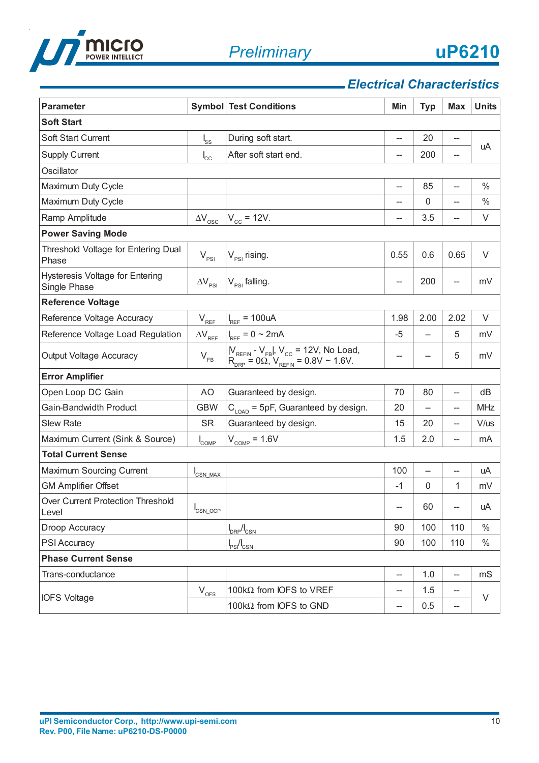

# *Electrical Characteristics*

| <b>Parameter</b>                                       |                            | <b>Symbol Test Conditions</b>                                                                                                                                                        | Min                      | <b>Typ</b>               | <b>Max</b> | <b>Units</b> |
|--------------------------------------------------------|----------------------------|--------------------------------------------------------------------------------------------------------------------------------------------------------------------------------------|--------------------------|--------------------------|------------|--------------|
| <b>Soft Start</b>                                      |                            |                                                                                                                                                                                      |                          |                          |            |              |
| Soft Start Current                                     | $I_{SS}$                   | During soft start.                                                                                                                                                                   | --                       | 20                       | --         |              |
| <b>Supply Current</b>                                  | $I_{\rm cc}$               | After soft start end.                                                                                                                                                                | --                       | 200                      | --         | uA           |
| Oscillator                                             |                            |                                                                                                                                                                                      |                          |                          |            |              |
| Maximum Duty Cycle                                     |                            |                                                                                                                                                                                      | $\overline{\phantom{a}}$ | 85                       | --         | $\%$         |
| Maximum Duty Cycle                                     |                            |                                                                                                                                                                                      | --                       | $\mathbf{0}$             | --         | $\%$         |
| Ramp Amplitude                                         | $\Delta\rm{V}_{\rm{osc}}$  | $V_{\rm cc}$ = 12V.                                                                                                                                                                  | --                       | 3.5                      | --         | V            |
| <b>Power Saving Mode</b>                               |                            |                                                                                                                                                                                      |                          |                          |            |              |
| Threshold Voltage for Entering Dual<br>Phase           | $V_{PSI}$                  | $V_{PSI}$ rising.                                                                                                                                                                    | 0.55                     | 0.6                      | 0.65       | V            |
| <b>Hysteresis Voltage for Entering</b><br>Single Phase | $\Delta V_{PSI}$           | $V_{PSI}$ falling.                                                                                                                                                                   | --                       | 200                      | --         | mV           |
| <b>Reference Voltage</b>                               |                            |                                                                                                                                                                                      |                          |                          |            |              |
| Reference Voltage Accuracy                             | $V_{REF}$                  | $I_{REF}$ = 100uA                                                                                                                                                                    | 1.98                     | 2.00                     | 2.02       | $\vee$       |
| Reference Voltage Load Regulation                      | $\Delta V_{REF}$           | $I_{REF} = 0 \sim 2mA$                                                                                                                                                               | -5                       |                          | 5          | mV           |
| <b>Output Voltage Accuracy</b>                         | $\mathsf{V}_{\mathsf{FB}}$ | $\begin{array}{c}  V_{\text{REFIN}} \cdot V_{\text{FB}} , V_{\text{CC}} = 12V, \text{ No Load}, \\ \text{R}_{\text{DRP}} = 0 \Omega, V_{\text{REFIN}} = 0.8V \sim 1.6V. \end{array}$ | --                       |                          | 5          | mV           |
| <b>Error Amplifier</b>                                 |                            |                                                                                                                                                                                      |                          |                          |            |              |
| Open Loop DC Gain                                      | AO                         | Guaranteed by design.                                                                                                                                                                | 70                       | 80                       | --         | dB           |
| Gain-Bandwidth Product                                 | <b>GBW</b>                 | $C_{\text{LOAD}}$ = 5pF, Guaranteed by design.                                                                                                                                       | 20                       | $\overline{\phantom{a}}$ | --         | <b>MHz</b>   |
| <b>Slew Rate</b>                                       | <b>SR</b>                  | Guaranteed by design.                                                                                                                                                                | 15                       | 20                       | --         | V/us         |
| Maximum Current (Sink & Source)                        | $I_{\text{COMP}}$          | $V_{\text{COMP}} = 1.6V$                                                                                                                                                             | 1.5                      | 2.0                      | --         | mA           |
| <b>Total Current Sense</b>                             |                            |                                                                                                                                                                                      |                          |                          |            |              |
| Maximum Sourcing Current                               | CSN_MAX                    |                                                                                                                                                                                      | 100                      | $\overline{\phantom{0}}$ | --         | uA           |
| <b>GM Amplifier Offset</b>                             |                            |                                                                                                                                                                                      | $-1$                     | 0                        | 1          | mV           |
| Over Current Protection Threshold<br>Level             | $I_{\text{CSN\_OCP}}$      |                                                                                                                                                                                      | --                       | 60                       | --         | uA           |
| Droop Accuracy                                         |                            | $I_{DRP}/I_{CSN}$                                                                                                                                                                    | 90                       | 100                      | 110        | $\%$         |
| PSI Accuracy                                           |                            | $I_{PS}/I_{CSN}$                                                                                                                                                                     | 90                       | 100                      | 110        | $\%$         |
| <b>Phase Current Sense</b>                             |                            |                                                                                                                                                                                      |                          |                          |            |              |
| Trans-conductance                                      |                            |                                                                                                                                                                                      | --                       | 1.0                      | --         | mS           |
| <b>IOFS Voltage</b>                                    | $V_{\text{OFS}}$           | 100 $k\Omega$ from IOFS to VREF                                                                                                                                                      | --                       | 1.5                      | --         | V            |
|                                                        |                            | 100kΩ from IOFS to GND                                                                                                                                                               | --                       | 0.5                      | --         |              |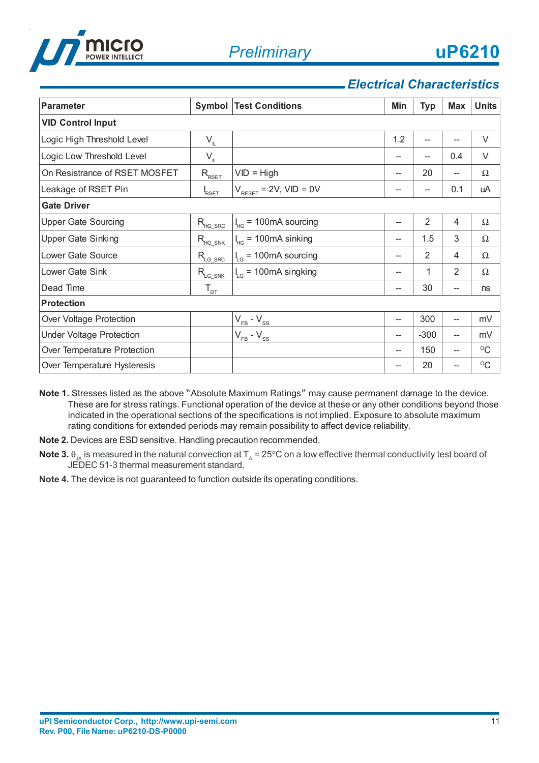

## *Electrical Characteristics*

| <b>Parameter</b>                |                        | <b>Symbol Test Conditions</b>                  | Min | <b>Typ</b>     | <b>Max</b>               | <b>Units</b> |
|---------------------------------|------------------------|------------------------------------------------|-----|----------------|--------------------------|--------------|
| <b>VID Control Input</b>        |                        |                                                |     |                |                          |              |
| Logic High Threshold Level      | $V_{\mathbb{L}}$       |                                                | 1.2 |                | --                       | $\vee$       |
| Logic Low Threshold Level       | $V_{\mathbb{L}}$       |                                                |     | --             | 0.4                      | V            |
| On Resistrance of RSET MOSFET   | $R_{R\underline{SET}}$ | $VID = High$                                   |     | 20             | --                       | $\Omega$     |
| Leakage of RSET Pin             | RSET                   | $V_{\text{RESET}} = 2V$ , $VID = 0V$           |     | --             | 0.1                      | uA           |
| <b>Gate Driver</b>              |                        |                                                |     |                |                          |              |
| <b>Upper Gate Sourcing</b>      | $R_{HG\_SRC}$          | = 100mA sourcing<br>$\mathsf{I}_{\mathsf{HG}}$ | --  | $\overline{2}$ | $\overline{4}$           | $\Omega$     |
| <b>Upper Gate Sinking</b>       | $R_{\text{HG\_SNK}}$   | = 100mA sinking                                | --  | 1.5            | 3                        | Ω            |
| Lower Gate Source               | $R_{LG\_SRC}$          | = 100mA sourcing<br>$\frac{1}{2}$              |     | $\overline{2}$ | $\overline{4}$           | Ω            |
| Lower Gate Sink                 | $R_{LG\_SNK}$          | = 100mA singking<br>$\frac{1}{2}$              | --  | 1              | 2                        | $\Omega$     |
| Dead Time                       | $T_{DT}$               |                                                | --  | 30             | --                       | ns           |
| <b>Protection</b>               |                        |                                                |     |                |                          |              |
| Over Voltage Protection         |                        | $V_{FB} - V_{SS}$                              | --  | 300            | $\overline{\phantom{a}}$ | mV           |
| <b>Under Voltage Protection</b> |                        | $V_{FB} - V_{SS}$                              | --  | $-300$         | $\overline{\phantom{a}}$ | mV           |
| Over Temperature Protection     |                        |                                                | --  | 150            | $\overline{\phantom{a}}$ | $\rm ^{O}C$  |
| Over Temperature Hysteresis     |                        |                                                | --  | 20             | --                       | $\rm ^{O}C$  |

**Note 1.** Stresses listed as the above "Absolute Maximum Ratings" may cause permanent damage to the device. These are for stress ratings. Functional operation of the device at these or any other conditions beyond those indicated in the operational sections of the specifications is not implied. Exposure to absolute maximum rating conditions for extended periods may remain possibility to affect device reliability.

- **Note 2.** Devices are ESD sensitive. Handling precaution recommended.
- **Note 3.**  $\theta_{\text{IA}}$  is measured in the natural convection at T<sub>A</sub> = 25°C on a low effective thermal conductivity test board of JEDEC 51-3 thermal measurement standard.
- **Note 4.** The device is not guaranteed to function outside its operating conditions.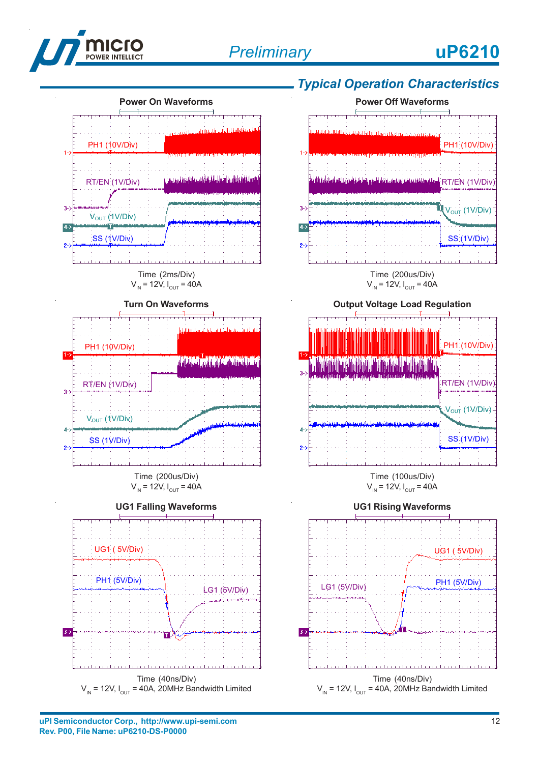



and material method in the color of the color of the color Time (40ns/Div)  $V_{IN}$  = 12V,  $I_{OUT}$  = 40A, 20MHz Bandwidth Limited

# *Typical Operation Characteristics*





Time (100us/Div)  $V_{\text{IN}} = 12V, I_{\text{OUT}} = 40A$ 



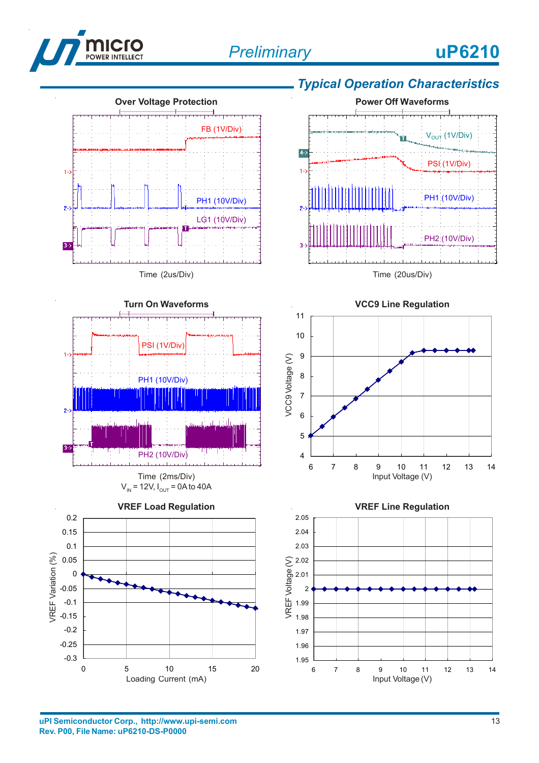



# *Typical Operation Characteristics*



Time (20us/Div)





Input Voltage (V)

-0.3

Loading Current (mA)

0 5 10 15 20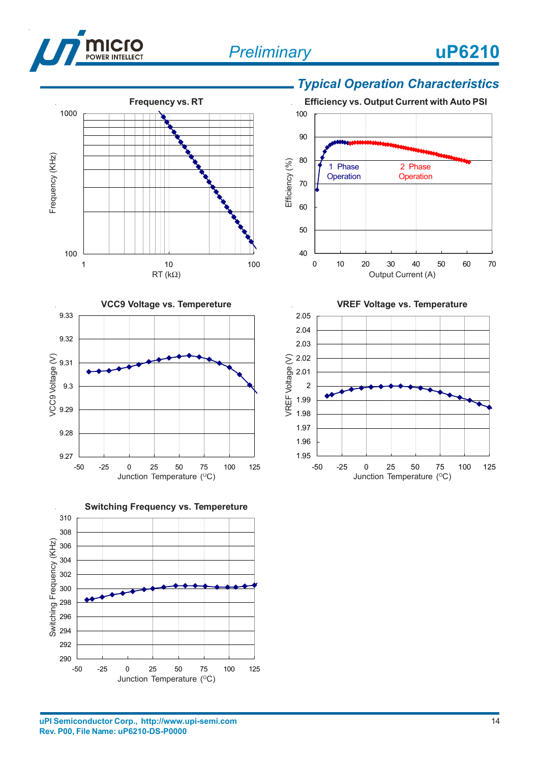







### *Typical Operation Characteristics*



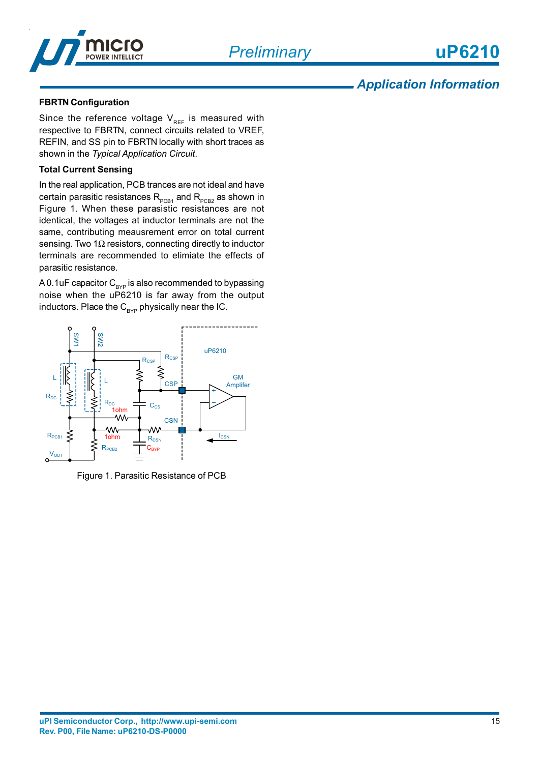*Preliminary*



### *Application Information*

#### **FBRTN Configuration**

Since the reference voltage  $V_{REF}$  is measured with respective to FBRTN, connect circuits related to VREF, REFIN, and SS pin to FBRTN locally with short traces as shown in the *Typical Application Circuit*.

#### **Total Current Sensing**

In the real application, PCB trances are not ideal and have certain parasitic resistances  $R_{PCB1}$  and  $R_{PCB2}$  as shown in Figure 1. When these parasistic resistances are not identical, the voltages at inductor terminals are not the same, contributing meausrement error on total current sensing. Two 1 $\Omega$  resistors, connecting directly to inductor terminals are recommended to elimiate the effects of parasitic resistance.

A 0.1uF capacitor  $C_{\text{RVP}}$  is also recommended to bypassing noise when the uP6210 is far away from the output inductors. Place the  $C_{BYP}$  physically near the IC.



Figure 1. Parasitic Resistance of PCB